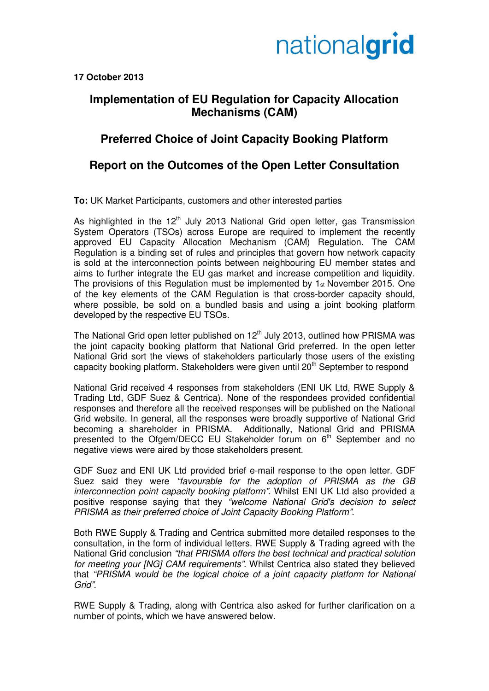## nationalgrid

**17 October 2013** 

#### **Implementation of EU Regulation for Capacity Allocation Mechanisms (CAM)**

### **Preferred Choice of Joint Capacity Booking Platform**

#### **Report on the Outcomes of the Open Letter Consultation**

**To:** UK Market Participants, customers and other interested parties

As highlighted in the  $12<sup>th</sup>$  July 2013 National Grid open letter, gas Transmission System Operators (TSOs) across Europe are required to implement the recently approved EU Capacity Allocation Mechanism (CAM) Regulation. The CAM Regulation is a binding set of rules and principles that govern how network capacity is sold at the interconnection points between neighbouring EU member states and aims to further integrate the EU gas market and increase competition and liquidity. The provisions of this Regulation must be implemented by 1st November 2015. One of the key elements of the CAM Regulation is that cross-border capacity should, where possible, be sold on a bundled basis and using a joint booking platform developed by the respective EU TSOs.

The National Grid open letter published on 12<sup>th</sup> July 2013, outlined how PRISMA was the joint capacity booking platform that National Grid preferred. In the open letter National Grid sort the views of stakeholders particularly those users of the existing capacity booking platform. Stakeholders were given until 20<sup>th</sup> September to respond

National Grid received 4 responses from stakeholders (ENI UK Ltd, RWE Supply & Trading Ltd, GDF Suez & Centrica). None of the respondees provided confidential responses and therefore all the received responses will be published on the National Grid website. In general, all the responses were broadly supportive of National Grid becoming a shareholder in PRISMA. Additionally, National Grid and PRISMA presented to the Ofgem/DECC EU Stakeholder forum on 6<sup>th</sup> September and no negative views were aired by those stakeholders present.

GDF Suez and ENI UK Ltd provided brief e-mail response to the open letter. GDF Suez said they were "favourable for the adoption of PRISMA as the GB interconnection point capacity booking platform". Whilst ENI UK Ltd also provided a positive response saying that they "welcome National Grid's decision to select PRISMA as their preferred choice of Joint Capacity Booking Platform".

Both RWE Supply & Trading and Centrica submitted more detailed responses to the consultation, in the form of individual letters. RWE Supply & Trading agreed with the National Grid conclusion "that PRISMA offers the best technical and practical solution for meeting your [NG] CAM requirements". Whilst Centrica also stated they believed that "PRISMA would be the logical choice of a joint capacity platform for National Grid".

RWE Supply & Trading, along with Centrica also asked for further clarification on a number of points, which we have answered below.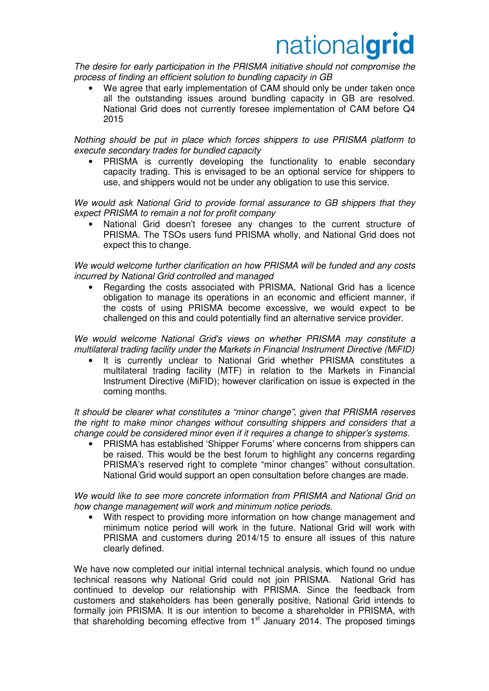# nationalgrid

The desire for early participation in the PRISMA initiative should not compromise the process of finding an efficient solution to bundling capacity in GB

We agree that early implementation of CAM should only be under taken once all the outstanding issues around bundling capacity in GB are resolved. National Grid does not currently foresee implementation of CAM before Q4 2015

Nothing should be put in place which forces shippers to use PRISMA platform to execute secondary trades for bundled capacity

• PRISMA is currently developing the functionality to enable secondary capacity trading. This is envisaged to be an optional service for shippers to use, and shippers would not be under any obligation to use this service.

We would ask National Grid to provide formal assurance to GB shippers that they expect PRISMA to remain a not for profit company

National Grid doesn't foresee any changes to the current structure of PRISMA. The TSOs users fund PRISMA wholly, and National Grid does not expect this to change.

We would welcome further clarification on how PRISMA will be funded and any costs incurred by National Grid controlled and managed

• Regarding the costs associated with PRISMA, National Grid has a licence obligation to manage its operations in an economic and efficient manner, if the costs of using PRISMA become excessive, we would expect to be challenged on this and could potentially find an alternative service provider.

We would welcome National Grid's views on whether PRISMA may constitute a multilateral trading facility under the Markets in Financial Instrument Directive (MiFID)

It is currently unclear to National Grid whether PRISMA constitutes a multilateral trading facility (MTF) in relation to the Markets in Financial Instrument Directive (MiFID); however clarification on issue is expected in the coming months.

It should be clearer what constitutes a "minor change", given that PRISMA reserves the right to make minor changes without consulting shippers and considers that a change could be considered minor even if it requires a change to shipper's systems.

• PRISMA has established 'Shipper Forums' where concerns from shippers can be raised. This would be the best forum to highlight any concerns regarding PRISMA's reserved right to complete "minor changes" without consultation. National Grid would support an open consultation before changes are made.

We would like to see more concrete information from PRISMA and National Grid on how change management will work and minimum notice periods.

• With respect to providing more information on how change management and minimum notice period will work in the future. National Grid will work with PRISMA and customers during 2014/15 to ensure all issues of this nature clearly defined.

We have now completed our initial internal technical analysis, which found no undue technical reasons why National Grid could not join PRISMA. National Grid has continued to develop our relationship with PRISMA. Since the feedback from customers and stakeholders has been generally positive, National Grid intends to formally join PRISMA. It is our intention to become a shareholder in PRISMA, with that shareholding becoming effective from 1<sup>st</sup> January 2014. The proposed timings